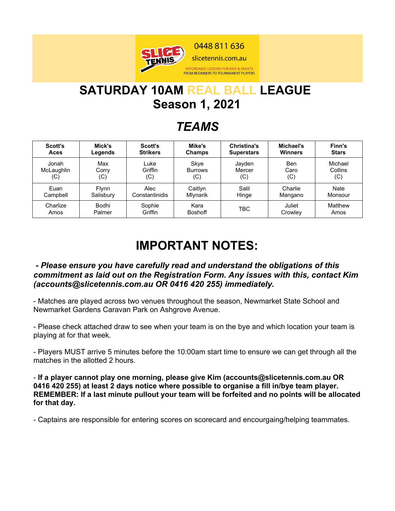

# **SATURDAY 10AM REAL BALL LEAGUE Season 1, 2021**

## *TEAMS*

| Scott's    | Mick's       | Scott's         | Mike's           | <b>Christina's</b> | Michael's      | Finn's       |
|------------|--------------|-----------------|------------------|--------------------|----------------|--------------|
| Aces       | Legends      | <b>Strikers</b> | <b>Champs</b>    | <b>Superstars</b>  | <b>Winners</b> | <b>Stars</b> |
| Jonah      | Max          | Luke            | Skye             | Jayden             | Ben            | Michael      |
| McLaughlin | Corry        | Griffin         | Burrows          | Mercer             | Caro           | Collins      |
| (C)        | (C)          | (C)             | (C)              | (C)                | (C)            | (C)          |
| Euan       | <b>Flynn</b> | Alec            | Caitlyn          | Salil              | Charlie        | <b>Nate</b>  |
| Campbell   | Salisbury    | Constantinidis  | <b>M</b> lvnarik | Hinge              | Mangano        | Monsour      |
| Charlize   | Bodhi        | Sophie          | Kara             | TBC                | Juliet         | Matthew      |
| Amos       | Palmer       | Griffin         | <b>Boshoff</b>   |                    | Crowley        | Amos         |

# **IMPORTANT NOTES:**

#### *- Please ensure you have carefully read and understand the obligations of this commitment as laid out on the Registration Form. Any issues with this, contact Kim (accounts@slicetennis.com.au OR 0416 420 255) immediately.*

- Matches are played across two venues throughout the season, Newmarket State School and Newmarket Gardens Caravan Park on Ashgrove Avenue.

- Please check attached draw to see when your team is on the bye and which location your team is playing at for that week.

- Players MUST arrive 5 minutes before the 10:00am start time to ensure we can get through all the matches in the allotted 2 hours.

- **If a player cannot play one morning, please give Kim (accounts@slicetennis.com.au OR 0416 420 255) at least 2 days notice where possible to organise a fill in/bye team player. REMEMBER: If a last minute pullout your team will be forfeited and no points will be allocated for that day.**

- Captains are responsible for entering scores on scorecard and encourgaing/helping teammates.